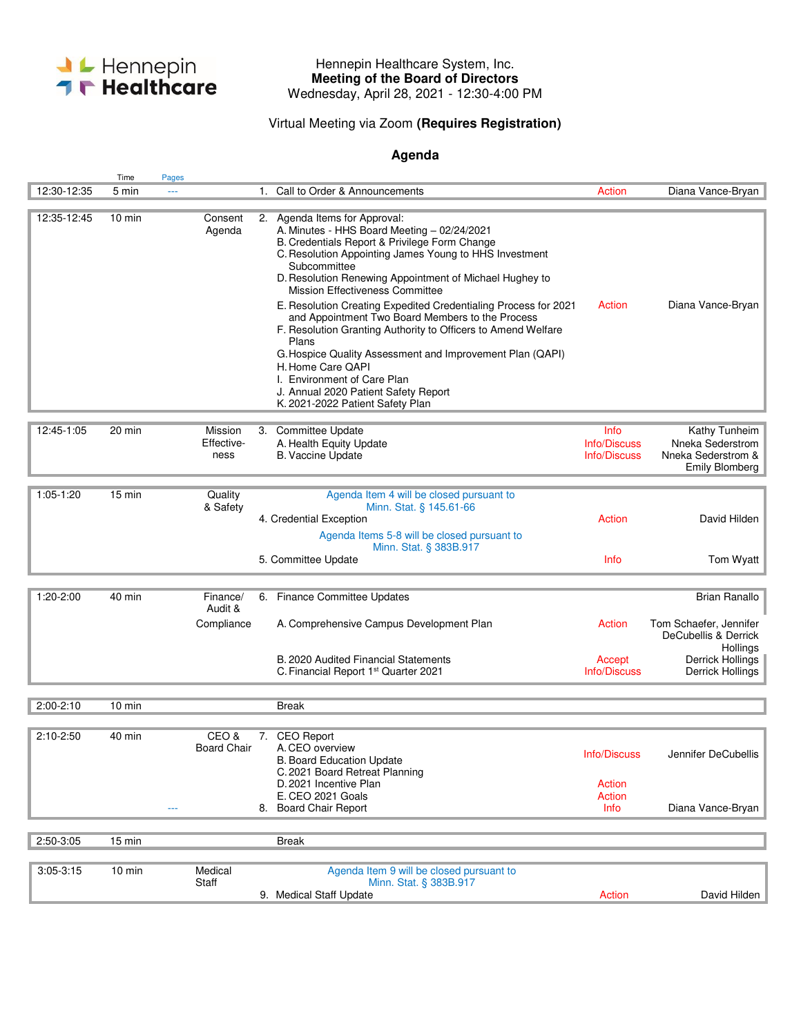

## Hennepin Healthcare System, Inc. **Meeting of the Board of Directors**  Wednesday, April 28, 2021 - 12:30-4:00 PM

## Virtual Meeting via Zoom **(Requires Registration)**

## **Agenda**

|             | Time             | Pages                         |                                                                                                                                                                                                                                                                                                                                                                                                                                                                                                                                                                                                                                                                                                     |                                                 |                                                                           |
|-------------|------------------|-------------------------------|-----------------------------------------------------------------------------------------------------------------------------------------------------------------------------------------------------------------------------------------------------------------------------------------------------------------------------------------------------------------------------------------------------------------------------------------------------------------------------------------------------------------------------------------------------------------------------------------------------------------------------------------------------------------------------------------------------|-------------------------------------------------|---------------------------------------------------------------------------|
| 12:30-12:35 | 5 min            | ---                           | 1. Call to Order & Announcements                                                                                                                                                                                                                                                                                                                                                                                                                                                                                                                                                                                                                                                                    | Action                                          | Diana Vance-Bryan                                                         |
| 12:35-12:45 | $10 \text{ min}$ | Consent<br>Agenda             | 2. Agenda Items for Approval:<br>A. Minutes - HHS Board Meeting - 02/24/2021<br>B. Credentials Report & Privilege Form Change<br>C. Resolution Appointing James Young to HHS Investment<br>Subcommittee<br>D. Resolution Renewing Appointment of Michael Hughey to<br>Mission Effectiveness Committee<br>E. Resolution Creating Expedited Credentialing Process for 2021<br>and Appointment Two Board Members to the Process<br>F. Resolution Granting Authority to Officers to Amend Welfare<br>Plans<br>G. Hospice Quality Assessment and Improvement Plan (QAPI)<br>H. Home Care QAPI<br>I. Environment of Care Plan<br>J. Annual 2020 Patient Safety Report<br>K. 2021-2022 Patient Safety Plan | Action                                          | Diana Vance-Bryan                                                         |
|             |                  |                               |                                                                                                                                                                                                                                                                                                                                                                                                                                                                                                                                                                                                                                                                                                     |                                                 |                                                                           |
| 12:45-1:05  | 20 min           | Mission<br>Effective-<br>ness | 3. Committee Update<br>A. Health Equity Update<br><b>B. Vaccine Update</b>                                                                                                                                                                                                                                                                                                                                                                                                                                                                                                                                                                                                                          | Info<br>Info/Discuss<br>Info/Discuss            | Kathy Tunheim<br>Nneka Sederstrom<br>Nneka Sederstrom &<br>Emily Blomberg |
|             |                  |                               |                                                                                                                                                                                                                                                                                                                                                                                                                                                                                                                                                                                                                                                                                                     |                                                 |                                                                           |
| $1:05-1:20$ | $15 \text{ min}$ | Quality<br>& Safety           | Agenda Item 4 will be closed pursuant to<br>Minn. Stat. § 145.61-66<br>4. Credential Exception<br>Agenda Items 5-8 will be closed pursuant to<br>Minn. Stat. § 383B.917                                                                                                                                                                                                                                                                                                                                                                                                                                                                                                                             | Action                                          | David Hilden                                                              |
|             |                  |                               | 5. Committee Update                                                                                                                                                                                                                                                                                                                                                                                                                                                                                                                                                                                                                                                                                 | Info                                            | Tom Wyatt                                                                 |
|             |                  |                               |                                                                                                                                                                                                                                                                                                                                                                                                                                                                                                                                                                                                                                                                                                     |                                                 |                                                                           |
| 1:20-2:00   | 40 min           | Finance/<br>Audit &           | 6. Finance Committee Updates                                                                                                                                                                                                                                                                                                                                                                                                                                                                                                                                                                                                                                                                        |                                                 | <b>Brian Ranallo</b>                                                      |
|             |                  | Compliance                    | A. Comprehensive Campus Development Plan                                                                                                                                                                                                                                                                                                                                                                                                                                                                                                                                                                                                                                                            | Action                                          | Tom Schaefer, Jennifer<br>DeCubellis & Derrick                            |
|             |                  |                               | B. 2020 Audited Financial Statements<br>C. Financial Report 1 <sup>st</sup> Quarter 2021                                                                                                                                                                                                                                                                                                                                                                                                                                                                                                                                                                                                            | Accept<br>Info/Discuss                          | Hollings<br>Derrick Hollings<br>Derrick Hollings                          |
|             |                  |                               |                                                                                                                                                                                                                                                                                                                                                                                                                                                                                                                                                                                                                                                                                                     |                                                 |                                                                           |
| $2:00-2:10$ | 10 min           |                               | <b>Break</b>                                                                                                                                                                                                                                                                                                                                                                                                                                                                                                                                                                                                                                                                                        |                                                 |                                                                           |
| $2:10-2:50$ | 40 min           | CEO &<br><b>Board Chair</b>   | <b>CEO Report</b><br>7.<br>A.CEO overview<br><b>B. Board Education Update</b><br>C. 2021 Board Retreat Planning<br>D. 2021 Incentive Plan<br>E. CEO 2021 Goals<br>8. Board Chair Report                                                                                                                                                                                                                                                                                                                                                                                                                                                                                                             | Info/Discuss<br><b>Action</b><br>Action<br>Info | Jennifer DeCubellis<br>Diana Vance-Bryan                                  |
|             |                  |                               |                                                                                                                                                                                                                                                                                                                                                                                                                                                                                                                                                                                                                                                                                                     |                                                 |                                                                           |
| 2:50-3:05   | 15 min           |                               | <b>Break</b>                                                                                                                                                                                                                                                                                                                                                                                                                                                                                                                                                                                                                                                                                        |                                                 |                                                                           |
|             |                  |                               |                                                                                                                                                                                                                                                                                                                                                                                                                                                                                                                                                                                                                                                                                                     |                                                 |                                                                           |
| $3:05-3:15$ | $10$ min         | Medical<br>Staff              | Agenda Item 9 will be closed pursuant to<br>Minn. Stat. § 383B.917                                                                                                                                                                                                                                                                                                                                                                                                                                                                                                                                                                                                                                  |                                                 |                                                                           |
|             |                  |                               | 9. Medical Staff Update                                                                                                                                                                                                                                                                                                                                                                                                                                                                                                                                                                                                                                                                             | Action                                          | David Hilden                                                              |